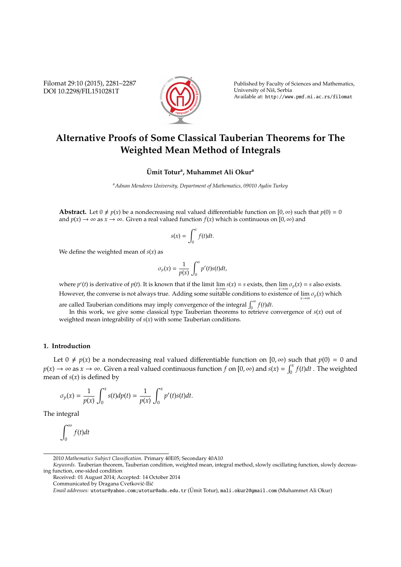Filomat 29:10 (2015), 2281–2287 DOI 10.2298/FIL1510281T



Published by Faculty of Sciences and Mathematics, University of Niš, Serbia Available at: http://www.pmf.ni.ac.rs/filomat

# **Alternative Proofs of Some Classical Tauberian Theorems for The Weighted Mean Method of Integrals**

## $\ddot{\text{U}}$ mit Totur<sup>a</sup>, Muhammet Ali Okur<sup>a</sup>

*<sup>a</sup>Adnan Menderes University, Department of Mathematics, 09010 Aydin Turkey*

**Abstract.** Let  $0 \neq p(x)$  be a nondecreasing real valued differentiable function on  $[0, \infty)$  such that  $p(0) = 0$ and  $p(x) \to \infty$  as  $x \to \infty$ . Given a real valued function  $f(x)$  which is continuous on [0,  $\infty$ ) and

$$
s(x) = \int_0^x f(t)dt.
$$

We define the weighted mean of  $s(x)$  as

$$
\sigma_p(x) = \frac{1}{p(x)} \int_0^x p'(t)s(t)dt,
$$

where  $p'(t)$  is derivative of  $p(t)$ . It is known that if the limit  $\lim_{x\to\infty} s(x) = s$  exists, then  $\lim_{x\to\infty} \sigma_p(x) = s$  also exists. However, the converse is not always true. Adding some suitable conditions to existence of lim*x*→∞ σ*p*(*x*) which

are called Tauberian conditions may imply convergence of the integral  $\int_0^\infty f(t)dt$ .

In this work, we give some classical type Tauberian theorems to retrieve convergence of  $s(x)$  out of weighted mean integrability of *s*(*x*) with some Tauberian conditions.

#### **1. Introduction**

Let  $0 \neq p(x)$  be a nondecreasing real valued differentiable function on [0,  $\infty$ ) such that  $p(0) = 0$  and  $p(x) \to \infty$  as  $x \to \infty$ . Given a real valued continuous function *f* on [0,  $\infty$ ) and  $s(x) = \int_0^x f(t)dt$ . The weighted mean of  $s(x)$  is defined by

$$
\sigma_p(x) = \frac{1}{p(x)} \int_0^x s(t) dp(t) = \frac{1}{p(x)} \int_0^x p'(t)s(t) dt.
$$

The integral

$$
\int_0^\infty f(t)dt
$$

<sup>2010</sup> *Mathematics Subject Classification*. Primary 40E05; Secondary 40A10

*Keywords*. Tauberian theorem, Tauberian condition, weighted mean, integral method, slowly oscillating function, slowly decreasing function, one-sided condition

Received: 01 August 2014; Accepted: 14 October 2014

Communicated by Dragana Cvetković-Ilić

*Email addresses:* utotur@yahoo.com;utotur@adu.edu.tr (Umit Totur), ¨ mali.okur2@gmail.com (Muhammet Ali Okur)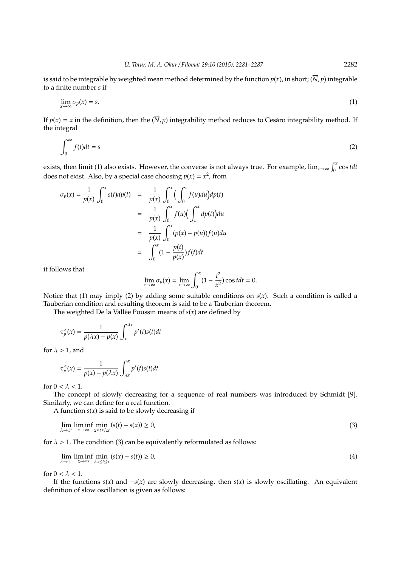is said to be integrable by weighted mean method determined by the function  $p(x)$ , in short;  $(\overline{N}, p)$  integrable to a finite number *s* if

$$
\lim_{x \to \infty} \sigma_p(x) = s. \tag{1}
$$

If  $p(x) = x$  in the definition, then the  $(\overline{N}, p)$  integrability method reduces to Cesaro integrability method. If the integral

$$
\int_0^\infty f(t)dt = s \tag{2}
$$

exists, then limit (1) also exists. However, the converse is not always true. For example,  $\lim_{x\to\infty} \int_0^x \cos t dt$ does not exist. Also, by a special case choosing  $p(x) = x^2$ , from

$$
\sigma_p(x) = \frac{1}{p(x)} \int_0^x s(t) dp(t) = \frac{1}{p(x)} \int_0^x \left( \int_0^t f(u) du \right) dp(t)
$$

$$
= \frac{1}{p(x)} \int_0^x f(u) \left( \int_u^x dp(t) \right) du
$$

$$
= \frac{1}{p(x)} \int_0^x (p(x) - p(u)) f(u) du
$$

$$
= \int_0^x (1 - \frac{p(t)}{p(x)}) f(t) dt
$$

it follows that

$$
\lim_{x \to \infty} \sigma_p(x) = \lim_{x \to \infty} \int_0^x (1 - \frac{t^2}{x^2}) \cos t dt = 0.
$$

Notice that (1) may imply (2) by adding some suitable conditions on *s*(*x*). Such a condition is called a Tauberian condition and resulting theorem is said to be a Tauberian theorem.

The weighted De la Vallée Poussin means of  $s(x)$  are defined by

$$
\tau_p^>(x)=\frac{1}{p(\lambda x)-p(x)}\int_x^{\lambda x}p'(t)s(t)dt
$$

for  $\lambda > 1$ , and

$$
\tau_p^<(x) = \frac{1}{p(x) - p(\lambda x)} \int_{\lambda x}^x p'(t)s(t)dt
$$

for  $0 < \lambda < 1$ .

The concept of slowly decreasing for a sequence of real numbers was introduced by Schmidt [9]. Similarly, we can define for a real function.

A function  $s(x)$  is said to be slowly decreasing if

$$
\lim_{\lambda \to 1^+} \liminf_{x \to \infty} \min_{x \le t \le \lambda x} (s(t) - s(x)) \ge 0,
$$
\n(3)

for  $\lambda > 1$ . The condition (3) can be equivalently reformulated as follows:

$$
\lim_{\lambda \to 1^{-}} \liminf_{x \to \infty} \min_{\lambda x \le t \le x} (s(x) - s(t)) \ge 0,
$$
\n(4)

for  $0 < \lambda < 1$ .

If the functions  $s(x)$  and  $-s(x)$  are slowly decreasing, then  $s(x)$  is slowly oscillating. An equivalent definition of slow oscillation is given as follows: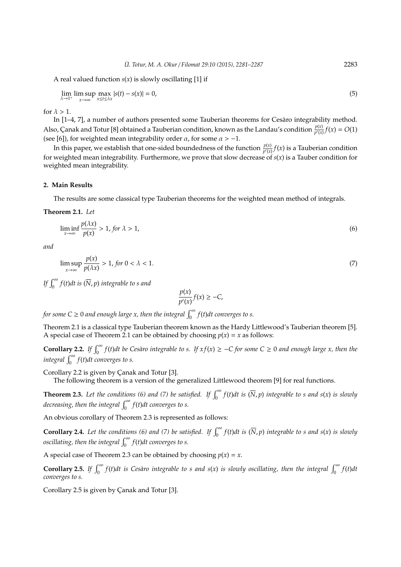A real valued function *s*(*x*) is slowly oscillating [1] if

$$
\lim_{\lambda \to 1^+} \limsup_{x \to \infty} \max_{x \le t \le \lambda x} |s(t) - s(x)| = 0,
$$
\n(5)

for  $\lambda > 1$ .

In [1-4, 7], a number of authors presented some Tauberian theorems for Cesaro integrability method. Also, Çanak and Totur [8] obtained a Tauberian condition, known as the Landau's condition  $\frac{p(x)}{p'(x)}f(x) = O(1)$ (see [6]), for weighted mean integrability order  $\alpha$ , for some  $\alpha > -1$ .

In this paper, we establish that one-sided boundedness of the function  $\frac{p(x)}{p'(x)}f(x)$  is a Tauberian condition for weighted mean integrability. Furthermore, we prove that slow decrease of *s*(*x*) is a Tauber condition for weighted mean integrability.

#### **2. Main Results**

The results are some classical type Tauberian theorems for the weighted mean method of integrals.

**Theorem 2.1.** *Let*

$$
\liminf_{x \to \infty} \frac{p(\lambda x)}{p(x)} > 1, \text{ for } \lambda > 1,\tag{6}
$$

*and*

$$
\limsup_{x \to \infty} \frac{p(x)}{p(\lambda x)} > 1, \text{ for } 0 < \lambda < 1. \tag{7}
$$

*If*  $\int_0^\infty f(t)dt$  is  $(\overline{N}, p)$  integrable to s and

$$
\frac{p(x)}{p'(x)}f(x) \ge -C,
$$

for some C  $\geq$  0 and enough large x, then the integral  $\int_{0}^{\infty} f(t)dt$  converges to s.

Theorem 2.1 is a classical type Tauberian theorem known as the Hardy Littlewood's Tauberian theorem [5]. A special case of Theorem 2.1 can be obtained by choosing  $p(x) = x$  as follows:

**Corollary 2.2.** If  $\int_0^\infty f(t)dt$  be Cesàro integrable to s. If  $xf(x) ≥ -C$  for some  $C ≥ 0$  and enough large x, then the  $integral \int_0^\infty f(t)dt$  converges to s.

Corollary 2.2 is given by Çanak and Totur [3].

The following theorem is a version of the generalized Littlewood theorem [9] for real functions.

**Theorem 2.3.** Let the conditions (6) and (7) be satisfied. If  $\int_0^\infty f(t)dt$  is  $(\overline{N}, p)$  integrable to s and s(x) is slowly decreasing, then the integral  $\int_0^\infty f(t) dt$  converges to s.

An obvious corollary of Theorem 2.3 is represented as follows:

**Corollary 2.4.** Let the conditions (6) and (7) be satisfied. If  $\int_0^\infty f(t)dt$  is  $(\overline{N}, p)$  integrable to s and s(x) is slowly *oscillating, then the integral*  $\int_0^\infty f(t)dt$  converges to s.

A special case of Theorem 2.3 can be obtained by choosing  $p(x) = x$ .

**Corollary 2.5.** If  $\int_0^\infty f(t)dt$  is Cesàro integrable to s and s(x) is slowly oscillating, then the integral  $\int_0^\infty f(t)dt$ *converges to s.*

Corollary 2.5 is given by Çanak and Totur [3].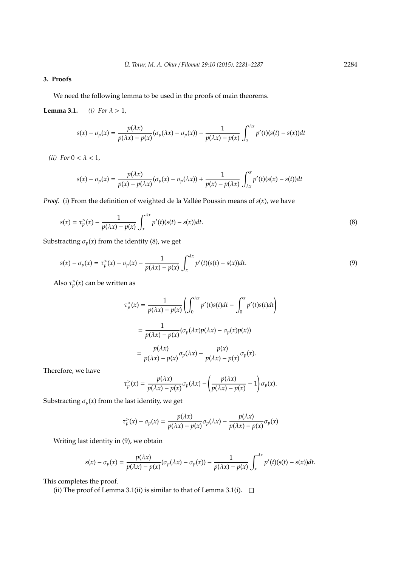### **3. Proofs**

We need the following lemma to be used in the proofs of main theorems.

**Lemma 3.1.** *(i) For*  $\lambda > 1$ *,* 

$$
s(x) - \sigma_p(x) = \frac{p(\lambda x)}{p(\lambda x) - p(x)} (\sigma_p(\lambda x) - \sigma_p(x)) - \frac{1}{p(\lambda x) - p(x)} \int_x^{\lambda x} p'(t)(s(t) - s(x)) dt
$$

(*ii*) For  $0 < \lambda < 1$ ,

$$
s(x) - \sigma_p(x) = \frac{p(\lambda x)}{p(x) - p(\lambda x)} (\sigma_p(x) - \sigma_p(\lambda x)) + \frac{1}{p(x) - p(\lambda x)} \int_{\lambda x}^x p'(t)(s(x) - s(t)) dt
$$

*Proof.* (i) From the definition of weighted de la Vallée Poussin means of  $s(x)$ , we have

$$
s(x) = \tau_p^>(x) - \frac{1}{p(\lambda x) - p(x)} \int_x^{\lambda x} p'(t)(s(t) - s(x))dt.
$$
 (8)

Substracting  $\sigma_p(x)$  from the identity (8), we get

$$
s(x) - \sigma_p(x) = \tau_p^>(x) - \sigma_p(x) - \frac{1}{p(\lambda x) - p(x)} \int_x^{\lambda x} p'(t)(s(t) - s(x))dt.
$$
\n(9)

Also  $\tau_p^>(x)$  can be written as

$$
\tau_p^>(x) = \frac{1}{p(\lambda x) - p(x)} \left( \int_0^{\lambda x} p'(t)s(t)dt - \int_0^x p'(t)s(t)dt \right)
$$

$$
= \frac{1}{p(\lambda x) - p(x)} (\sigma_p(\lambda x)p(\lambda x) - \sigma_p(x)p(x))
$$

$$
= \frac{p(\lambda x)}{p(\lambda x) - p(x)} \sigma_p(\lambda x) - \frac{p(x)}{p(\lambda x) - p(x)} \sigma_p(x).
$$

Therefore, we have

$$
\tau_p^>(x) = \frac{p(\lambda x)}{p(\lambda x) - p(x)} \sigma_p(\lambda x) - \left(\frac{p(\lambda x)}{p(\lambda x) - p(x)} - 1\right) \sigma_p(x).
$$

Substracting  $\sigma_p(x)$  from the last identity, we get

$$
\tau_p^>(x) - \sigma_p(x) = \frac{p(\lambda x)}{p(\lambda x) - p(x)} \sigma_p(\lambda x) - \frac{p(\lambda x)}{p(\lambda x) - p(x)} \sigma_p(x)
$$

Writing last identity in (9), we obtain

$$
s(x) - \sigma_p(x) = \frac{p(\lambda x)}{p(\lambda x) - p(x)} (\sigma_p(\lambda x) - \sigma_p(x)) - \frac{1}{p(\lambda x) - p(x)} \int_x^{\lambda x} p'(t)(s(t) - s(x)) dt.
$$

This completes the proof.

(ii) The proof of Lemma 3.1(ii) is similar to that of Lemma 3.1(i).  $\Box$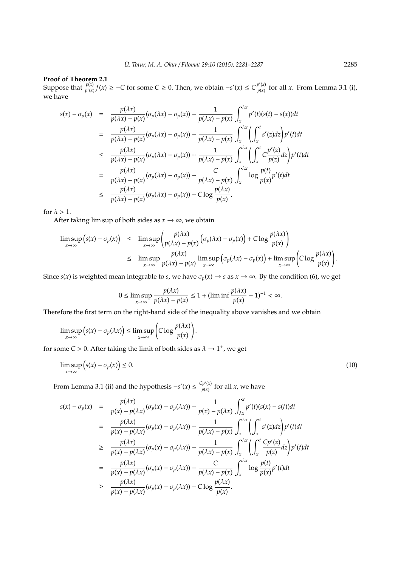#### **Proof of Theorem 2.1**

Suppose that  $\frac{p(x)}{p'(x)} f(x) \ge -C$  for some  $C \ge 0$ . Then, we obtain  $-s'(x) \le C \frac{p'(x)}{p(x)}$  $\frac{p(x)}{p(x)}$  for all *x*. From Lemma 3.1 (i), we have

$$
s(x) - \sigma_p(x) = \frac{p(\lambda x)}{p(\lambda x) - p(x)} (\sigma_p(\lambda x) - \sigma_p(x)) - \frac{1}{p(\lambda x) - p(x)} \int_x^{\lambda x} p'(t)(s(t) - s(x))dt
$$
  
\n
$$
= \frac{p(\lambda x)}{p(\lambda x) - p(x)} (\sigma_p(\lambda x) - \sigma_p(x)) - \frac{1}{p(\lambda x) - p(x)} \int_x^{\lambda x} \left( \int_x^t s'(z)dz \right) p'(t)dt
$$
  
\n
$$
\leq \frac{p(\lambda x)}{p(\lambda x) - p(x)} (\sigma_p(\lambda x) - \sigma_p(x)) + \frac{1}{p(\lambda x) - p(x)} \int_x^{\lambda x} \left( \int_x^t C \frac{p'(z)}{p(z)} dz \right) p'(t)dt
$$
  
\n
$$
= \frac{p(\lambda x)}{p(\lambda x) - p(x)} (\sigma_p(\lambda x) - \sigma_p(x)) + \frac{C}{p(\lambda x) - p(x)} \int_x^{\lambda x} \log \frac{p(t)}{p(x)} p'(t)dt
$$
  
\n
$$
\leq \frac{p(\lambda x)}{p(\lambda x) - p(x)} (\sigma_p(\lambda x) - \sigma_p(x)) + C \log \frac{p(\lambda x)}{p(x)},
$$

for  $\lambda > 1$ .

After taking lim sup of both sides as  $x \to \infty$ , we obtain

$$
\limsup_{x \to \infty} (s(x) - \sigma_p(x)) \leq \limsup_{x \to \infty} \left( \frac{p(\lambda x)}{p(\lambda x) - p(x)} \left( \sigma_p(\lambda x) - \sigma_p(x) \right) + C \log \frac{p(\lambda x)}{p(x)} \right) \leq \limsup_{x \to \infty} \frac{p(\lambda x)}{p(\lambda x) - p(x)} \limsup_{x \to \infty} \left( \sigma_p(\lambda x) - \sigma_p(x) \right) + \limsup_{x \to \infty} \left( C \log \frac{p(\lambda x)}{p(x)} \right).
$$

Since *s*(*x*) is weighted mean integrable to *s*, we have  $\sigma_p(x) \to s$  as  $x \to \infty$ . By the condition (6), we get

$$
0 \le \limsup_{x \to \infty} \frac{p(\lambda x)}{p(\lambda x) - p(x)} \le 1 + (\liminf \frac{p(\lambda x)}{p(x)} - 1)^{-1} < \infty.
$$

Therefore the first term on the right-hand side of the inequality above vanishes and we obtain

$$
\limsup_{x\to\infty} (s(x)-\sigma_p(\lambda x)) \leq \limsup_{x\to\infty} \left(C\log\frac{p(\lambda x)}{p(x)}\right).
$$

for some  $C > 0$ . After taking the limit of both sides as  $\lambda \rightarrow 1^+$ , we get

$$
\limsup_{x \to \infty} (s(x) - \sigma_p(x)) \le 0. \tag{10}
$$

From Lemma 3.1 (ii) and the hypothesis  $-s'(x) \leq \frac{Cp'(x)}{p(x)}$  $\frac{\partial P(x)}{\partial p(x)}$  for all *x*, we have

$$
s(x) - \sigma_p(x) = \frac{p(\lambda x)}{p(x) - p(\lambda x)} (\sigma_p(x) - \sigma_p(\lambda x)) + \frac{1}{p(x) - p(\lambda x)} \int_{\lambda x}^x p'(t)(s(x) - s(t))dt
$$
  
\n
$$
= \frac{p(\lambda x)}{p(x) - p(\lambda x)} (\sigma_p(x) - \sigma_p(\lambda x)) + \frac{1}{p(\lambda x) - p(x)} \int_x^{\lambda x} \left( \int_x^t s'(z)dz \right) p'(t)dt
$$
  
\n
$$
\geq \frac{p(\lambda x)}{p(x) - p(\lambda x)} (\sigma_p(x) - \sigma_p(\lambda x)) - \frac{1}{p(\lambda x) - p(x)} \int_x^{\lambda x} \left( \int_x^t \frac{Cp'(z)}{p(z)}dz \right) p'(t)dt
$$
  
\n
$$
= \frac{p(\lambda x)}{p(x) - p(\lambda x)} (\sigma_p(x) - \sigma_p(\lambda x)) - \frac{C}{p(\lambda x) - p(x)} \int_x^{\lambda x} \log \frac{p(t)}{p(x)} p'(t)dt
$$
  
\n
$$
\geq \frac{p(\lambda x)}{p(x) - p(\lambda x)} (\sigma_p(x) - \sigma_p(\lambda x)) - C \log \frac{p(\lambda x)}{p(x)}.
$$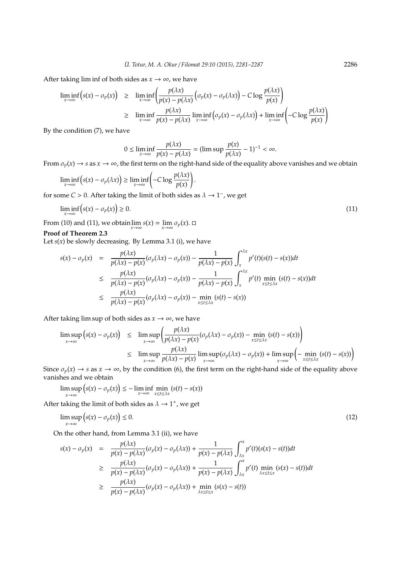After taking lim inf of both sides as  $x \to \infty$ , we have

$$
\liminf_{x \to \infty} (s(x) - \sigma_p(x)) \geq \liminf_{x \to \infty} \left( \frac{p(\lambda x)}{p(x) - p(\lambda x)} \left( \sigma_p(x) - \sigma_p(\lambda x) \right) - C \log \frac{p(\lambda x)}{p(x)} \right)
$$
\n
$$
\geq \liminf_{x \to \infty} \frac{p(\lambda x)}{p(x) - p(\lambda x)} \liminf_{x \to \infty} \left( \sigma_p(x) - \sigma_p(\lambda x) \right) + \liminf_{x \to \infty} \left( -C \log \frac{p(\lambda x)}{p(x)} \right)
$$

By the condition (7), we have

$$
0 \le \liminf_{x \to \infty} \frac{p(\lambda x)}{p(x) - p(\lambda x)} = (\limsup \frac{p(x)}{p(\lambda x)} - 1)^{-1} < \infty.
$$

From  $\sigma_p(x) \to s$  as  $x \to \infty$ , the first term on the right-hand side of the equality above vanishes and we obtain

.

$$
\liminf_{x \to \infty} (s(x) - \sigma_p(\lambda x)) \ge \liminf_{x \to \infty} \left( -C \log \frac{p(\lambda x)}{p(x)} \right)
$$

for some  $C > 0$ . After taking the limit of both sides as  $\lambda \to 1^-$ , we get

$$
\liminf_{x \to \infty} (s(x) - \sigma_p(x)) \ge 0. \tag{11}
$$

From (10) and (11), we obtain  $\lim_{x \to \infty} s(x) = \lim_{x \to \infty} \sigma_p(x)$ .

## **Proof of Theorem 2.3**

Let  $s(x)$  be slowly decreasing. By Lemma 3.1 (i), we have

$$
s(x) - \sigma_p(x) = \frac{p(\lambda x)}{p(\lambda x) - p(x)} (\sigma_p(\lambda x) - \sigma_p(x)) - \frac{1}{p(\lambda x) - p(x)} \int_x^{\lambda x} p'(t)(s(t) - s(x))dt
$$
  
\n
$$
\leq \frac{p(\lambda x)}{p(\lambda x) - p(x)} (\sigma_p(\lambda x) - \sigma_p(x)) - \frac{1}{p(\lambda x) - p(x)} \int_x^{\lambda x} p'(t) \min_{x \leq t \leq \lambda x} (s(t) - s(x))dt
$$
  
\n
$$
\leq \frac{p(\lambda x)}{p(\lambda x) - p(x)} (\sigma_p(\lambda x) - \sigma_p(x)) - \min_{x \leq t \leq \lambda x} (s(t) - s(x))
$$

After taking lim sup of both sides as  $x \rightarrow \infty$ , we have

$$
\limsup_{x \to \infty} (s(x) - \sigma_p(x)) \leq \limsup_{x \to \infty} \left( \frac{p(\lambda x)}{p(\lambda x) - p(x)} (\sigma_p(\lambda x) - \sigma_p(x)) - \min_{x \leq t \leq \lambda x} (s(t) - s(x)) \right)
$$
  

$$
\leq \limsup_{x \to \infty} \frac{p(\lambda x)}{p(\lambda x) - p(x)} \limsup_{x \to \infty} (\sigma_p(\lambda x) - \sigma_p(x)) + \limsup_{x \to \infty} \left( - \min_{x \leq t \leq \lambda x} (s(t) - s(x)) \right)
$$

Since  $\sigma_p(x) \to s$  as  $x \to \infty$ , by the condition (6), the first term on the right-hand side of the equality above vanishes and we obtain

$$
\limsup_{x \to \infty} (s(x) - \sigma_p(x)) \leq - \liminf_{x \to \infty} \min_{x \leq t \leq \lambda x} (s(t) - s(x))
$$

After taking the limit of both sides as  $\lambda \rightarrow 1^+$ , we get

$$
\limsup_{x \to \infty} (s(x) - \sigma_p(x)) \le 0. \tag{12}
$$

 $\rightarrow$ **x** 

On the other hand, from Lemma 3.1 (ii), we have

$$
s(x) - \sigma_p(x) = \frac{p(\lambda x)}{p(x) - p(\lambda x)} (\sigma_p(x) - \sigma_p(\lambda x)) + \frac{1}{p(x) - p(\lambda x)} \int_{\lambda x}^x p'(t)(s(x) - s(t))dt
$$
  
\n
$$
\geq \frac{p(\lambda x)}{p(x) - p(\lambda x)} (\sigma_p(x) - \sigma_p(\lambda x)) + \frac{1}{p(x) - p(\lambda x)} \int_{\lambda x}^x p'(t) \min_{\lambda x \leq t \leq x} (s(x) - s(t))dt
$$
  
\n
$$
\geq \frac{p(\lambda x)}{p(x) - p(\lambda x)} (\sigma_p(x) - \sigma_p(\lambda x)) + \min_{\lambda x \leq t \leq x} (s(x) - s(t))
$$